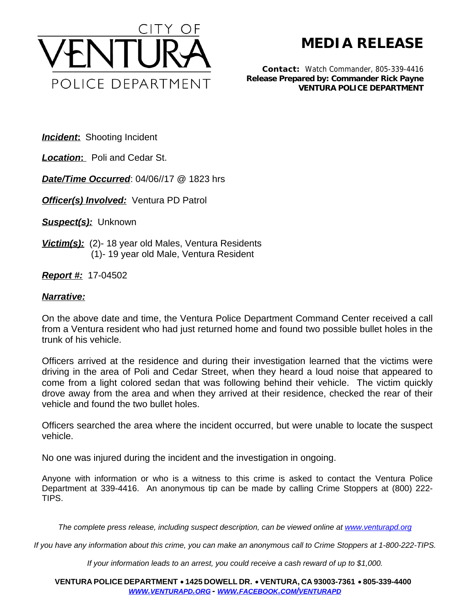

**MEDIA RELEASE**

*Contact:* Watch Commander, 805-339-4416 *Release Prepared by: Commander Rick Payne* **VENTURA POLICE DEPARTMENT**

**Incident:** Shooting Incident

*Location***:** Poli and Cedar St.

*Date/Time Occurred*: 04/06//17 @ 1823 hrs

**Officer(s) Involved:** Ventura PD Patrol

*Suspect(s):* Unknown

*Victim(s):* (2)- 18 year old Males, Ventura Residents (1)- 19 year old Male, Ventura Resident

*Report #:* 17-04502

## *Narrative:*

On the above date and time, the Ventura Police Department Command Center received a call from a Ventura resident who had just returned home and found two possible bullet holes in the trunk of his vehicle.

Officers arrived at the residence and during their investigation learned that the victims were driving in the area of Poli and Cedar Street, when they heard a loud noise that appeared to come from a light colored sedan that was following behind their vehicle. The victim quickly drove away from the area and when they arrived at their residence, checked the rear of their vehicle and found the two bullet holes.

Officers searched the area where the incident occurred, but were unable to locate the suspect vehicle.

No one was injured during the incident and the investigation in ongoing.

Anyone with information or who is a witness to this crime is asked to contact the Ventura Police Department at 339-4416. An anonymous tip can be made by calling Crime Stoppers at (800) 222- TIPS.

*The complete press release, including suspect description, can be viewed online at [www.venturapd.org](http://www.venturapd.org)* 

*If you have any information about this crime, you can make an anonymous call to Crime Stoppers at 1-800-222-TIPS.*

*If your information leads to an arrest, you could receive a cash reward of up to \$1,000.*

**VENTURA POLICE DEPARTMENT** ·**1425 DOWELL DR.** · **VENTURA, CA 93003-7361** ·**805-339-4400**  *WWW.[VENTURAPD](http://www.venturapd.org).ORG* **-** *WWW.FACEBOOK.COM/[VENTURAPD](http://www.facebook.com/venturapd)*